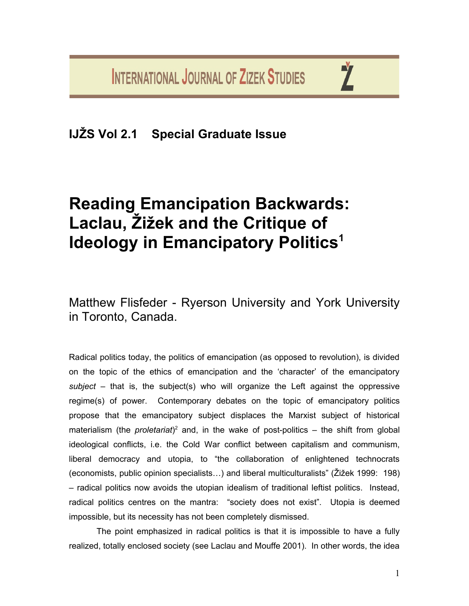**INTERNATIONAL JOURNAL OF ZIZEK STUDIES** 

**IJŽS Vol 2.1 Special Graduate Issue**

# **Reading Emancipation Backwards: Laclau, Žižek and the Critique of Ideology in Emancipatory Politics<sup>1</sup>**

Matthew Flisfeder - Ryerson University and York University in Toronto, Canada.

Radical politics today, the politics of emancipation (as opposed to revolution), is divided on the topic of the ethics of emancipation and the 'character' of the emancipatory *subject* – that is, the subject(s) who will organize the Left against the oppressive regime(s) of power. Contemporary debates on the topic of emancipatory politics propose that the emancipatory subject displaces the Marxist subject of historical materialism (the *proletariat*)<sup>2</sup> and, in the wake of post-politics – the shift from global ideological conflicts, i.e. the Cold War conflict between capitalism and communism, liberal democracy and utopia, to "the collaboration of enlightened technocrats (economists, public opinion specialists…) and liberal multiculturalists" (Žižek 1999: 198) – radical politics now avoids the utopian idealism of traditional leftist politics. Instead, radical politics centres on the mantra: "society does not exist". Utopia is deemed impossible, but its necessity has not been completely dismissed.

The point emphasized in radical politics is that it is impossible to have a fully realized, totally enclosed society (see Laclau and Mouffe 2001). In other words, the idea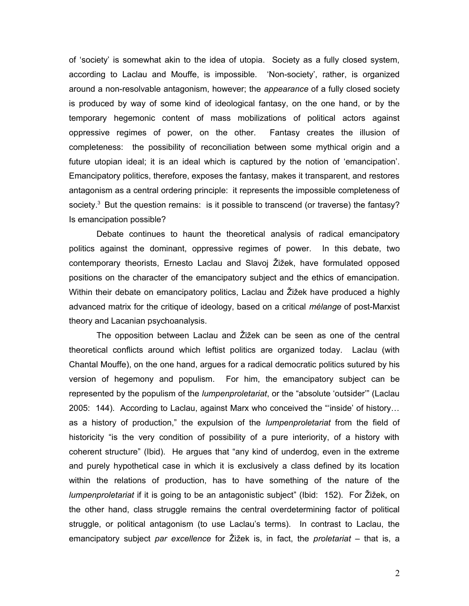of 'society' is somewhat akin to the idea of utopia. Society as a fully closed system, according to Laclau and Mouffe, is impossible. 'Non-society', rather, is organized around a non-resolvable antagonism, however; the *appearance* of a fully closed society is produced by way of some kind of ideological fantasy, on the one hand, or by the temporary hegemonic content of mass mobilizations of political actors against oppressive regimes of power, on the other. Fantasy creates the illusion of completeness: the possibility of reconciliation between some mythical origin and a future utopian ideal; it is an ideal which is captured by the notion of 'emancipation'. Emancipatory politics, therefore, exposes the fantasy, makes it transparent, and restores antagonism as a central ordering principle: it represents the impossible completeness of society.<sup>3</sup> But the question remains: is it possible to transcend (or traverse) the fantasy? Is emancipation possible?

Debate continues to haunt the theoretical analysis of radical emancipatory politics against the dominant, oppressive regimes of power. In this debate, two contemporary theorists, Ernesto Laclau and Slavoj Žižek, have formulated opposed positions on the character of the emancipatory subject and the ethics of emancipation. Within their debate on emancipatory politics, Laclau and Žižek have produced a highly advanced matrix for the critique of ideology, based on a critical *mélange* of post-Marxist theory and Lacanian psychoanalysis.

The opposition between Laclau and Žižek can be seen as one of the central theoretical conflicts around which leftist politics are organized today. Laclau (with Chantal Mouffe), on the one hand, argues for a radical democratic politics sutured by his version of hegemony and populism. For him, the emancipatory subject can be represented by the populism of the *lumpenproletariat*, or the "absolute 'outsider'" (Laclau 2005: 144). According to Laclau, against Marx who conceived the "'inside' of history… as a history of production," the expulsion of the *lumpenproletariat* from the field of historicity "is the very condition of possibility of a pure interiority, of a history with coherent structure" (Ibid). He argues that "any kind of underdog, even in the extreme and purely hypothetical case in which it is exclusively a class defined by its location within the relations of production, has to have something of the nature of the *lumpenproletariat* if it is going to be an antagonistic subject" (Ibid: 152). For Žižek, on the other hand, class struggle remains the central overdetermining factor of political struggle, or political antagonism (to use Laclau's terms). In contrast to Laclau, the emancipatory subject *par excellence* for Žižek is, in fact, the *proletariat* – that is, a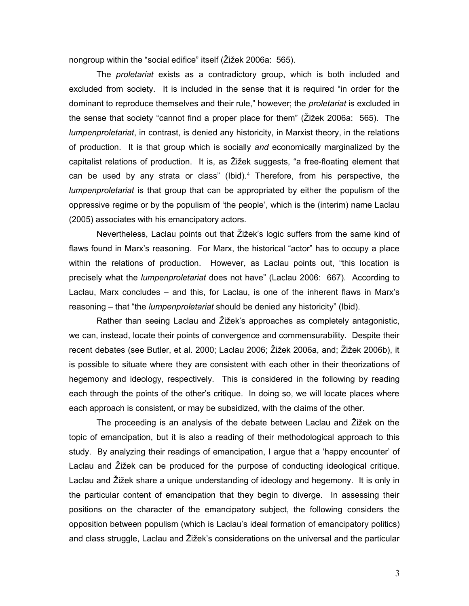nongroup within the "social edifice" itself (Žižek 2006a: 565).

The *proletariat* exists as a contradictory group, which is both included and excluded from society. It is included in the sense that it is required "in order for the dominant to reproduce themselves and their rule," however; the *proletariat* is excluded in the sense that society "cannot find a proper place for them" (Žižek 2006a: 565). The *lumpenproletariat*, in contrast, is denied any historicity, in Marxist theory, in the relations of production. It is that group which is socially *and* economically marginalized by the capitalist relations of production. It is, as Žižek suggests, "a free-floating element that can be used by any strata or class" (Ibid).<sup>4</sup> Therefore, from his perspective, the *lumpenproletariat* is that group that can be appropriated by either the populism of the oppressive regime or by the populism of 'the people', which is the (interim) name Laclau (2005) associates with his emancipatory actors.

Nevertheless, Laclau points out that Žižek's logic suffers from the same kind of flaws found in Marx's reasoning. For Marx, the historical "actor" has to occupy a place within the relations of production. However, as Laclau points out, "this location is precisely what the *lumpenproletariat* does not have" (Laclau 2006: 667). According to Laclau, Marx concludes – and this, for Laclau, is one of the inherent flaws in Marx's reasoning – that "the *lumpenproletariat* should be denied any historicity" (Ibid).

Rather than seeing Laclau and Žižek's approaches as completely antagonistic, we can, instead, locate their points of convergence and commensurability. Despite their recent debates (see Butler, et al. 2000; Laclau 2006; Žižek 2006a, and; Žižek 2006b), it is possible to situate where they are consistent with each other in their theorizations of hegemony and ideology, respectively. This is considered in the following by reading each through the points of the other's critique. In doing so, we will locate places where each approach is consistent, or may be subsidized, with the claims of the other.

The proceeding is an analysis of the debate between Laclau and Žižek on the topic of emancipation, but it is also a reading of their methodological approach to this study. By analyzing their readings of emancipation, I argue that a 'happy encounter' of Laclau and Žižek can be produced for the purpose of conducting ideological critique. Laclau and Žižek share a unique understanding of ideology and hegemony. It is only in the particular content of emancipation that they begin to diverge. In assessing their positions on the character of the emancipatory subject, the following considers the opposition between populism (which is Laclau's ideal formation of emancipatory politics) and class struggle, Laclau and Žižek's considerations on the universal and the particular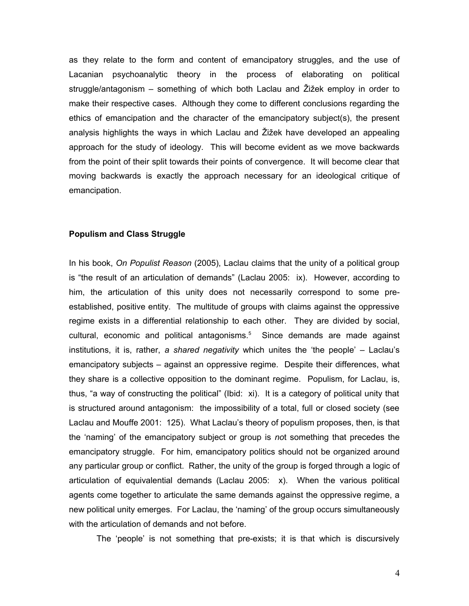as they relate to the form and content of emancipatory struggles, and the use of Lacanian psychoanalytic theory in the process of elaborating on political struggle/antagonism – something of which both Laclau and Žižek employ in order to make their respective cases. Although they come to different conclusions regarding the ethics of emancipation and the character of the emancipatory subject(s), the present analysis highlights the ways in which Laclau and Žižek have developed an appealing approach for the study of ideology. This will become evident as we move backwards from the point of their split towards their points of convergence. It will become clear that moving backwards is exactly the approach necessary for an ideological critique of emancipation.

#### **Populism and Class Struggle**

In his book, *On Populist Reason* (2005), Laclau claims that the unity of a political group is "the result of an articulation of demands" (Laclau 2005: ix). However, according to him, the articulation of this unity does not necessarily correspond to some preestablished, positive entity. The multitude of groups with claims against the oppressive regime exists in a differential relationship to each other. They are divided by social, cultural, economic and political antagonisms.<sup>5</sup> Since demands are made against institutions, it is, rather, *a shared negativity* which unites the 'the people' – Laclau's emancipatory subjects – against an oppressive regime. Despite their differences, what they share is a collective opposition to the dominant regime. Populism, for Laclau, is, thus, "a way of constructing the political" (Ibid: xi). It is a category of political unity that is structured around antagonism: the impossibility of a total, full or closed society (see Laclau and Mouffe 2001: 125). What Laclau's theory of populism proposes, then, is that the 'naming' of the emancipatory subject or group is *no*t something that precedes the emancipatory struggle. For him, emancipatory politics should not be organized around any particular group or conflict. Rather, the unity of the group is forged through a logic of articulation of equivalential demands (Laclau 2005: x). When the various political agents come together to articulate the same demands against the oppressive regime, a new political unity emerges. For Laclau, the 'naming' of the group occurs simultaneously with the articulation of demands and not before.

The 'people' is not something that pre-exists; it is that which is discursively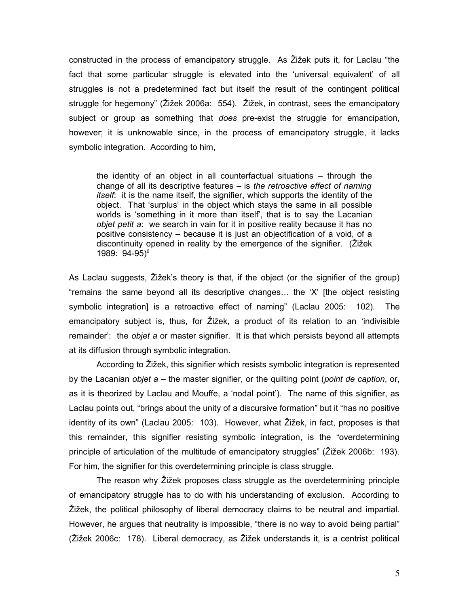constructed in the process of emancipatory struggle. As Žižek puts it, for Laclau "the fact that some particular struggle is elevated into the 'universal equivalent' of all struggles is not a predetermined fact but itself the result of the contingent political struggle for hegemony" (Žižek 2006a: 554). Žižek, in contrast, sees the emancipatory subject or group as something that *does* pre-exist the struggle for emancipation, however; it is unknowable since, in the process of emancipatory struggle, it lacks symbolic integration. According to him,

the identity of an object in all counterfactual situations – through the change of all its descriptive features – is *the retroactive effect of naming itself*: it is the name itself, the signifier, which supports the identity of the object. That 'surplus' in the object which stays the same in all possible worlds is 'something in it more than itself', that is to say the Lacanian *objet petit a*: we search in vain for it in positive reality because it has no positive consistency – because it is just an objectification of a void, of a discontinuity opened in reality by the emergence of the signifier. (Žižek 1989: 94-95)<sup>6</sup>

As Laclau suggests, Žižek's theory is that, if the object (or the signifier of the group) "remains the same beyond all its descriptive changes… the 'X' [the object resisting symbolic integration] is a retroactive effect of naming" (Laclau 2005: 102). The emancipatory subject is, thus, for Žižek, a product of its relation to an 'indivisible remainder': the *objet a* or master signifier. It is that which persists beyond all attempts at its diffusion through symbolic integration.

According to Žižek, this signifier which resists symbolic integration is represented by the Lacanian *objet a* – the master signifier, or the quilting point (*point de caption*, or, as it is theorized by Laclau and Mouffe, a 'nodal point'). The name of this signifier, as Laclau points out, "brings about the unity of a discursive formation" but it "has no positive identity of its own" (Laclau 2005: 103). However, what Žižek, in fact, proposes is that this remainder, this signifier resisting symbolic integration, is the "overdetermining principle of articulation of the multitude of emancipatory struggles" (Žižek 2006b: 193). For him, the signifier for this overdetermining principle is class struggle.

The reason why Žižek proposes class struggle as the overdetermining principle of emancipatory struggle has to do with his understanding of exclusion. According to Žižek, the political philosophy of liberal democracy claims to be neutral and impartial. However, he argues that neutrality is impossible, "there is no way to avoid being partial" (Žižek 2006c: 178). Liberal democracy, as Žižek understands it, is a centrist political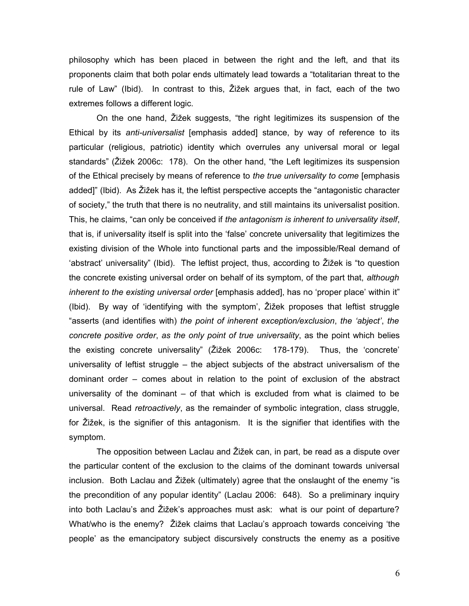philosophy which has been placed in between the right and the left, and that its proponents claim that both polar ends ultimately lead towards a "totalitarian threat to the rule of Law" (Ibid). In contrast to this, Žižek argues that, in fact, each of the two extremes follows a different logic.

On the one hand, Žižek suggests, "the right legitimizes its suspension of the Ethical by its *anti-universalist* [emphasis added] stance, by way of reference to its particular (religious, patriotic) identity which overrules any universal moral or legal standards" (Žižek 2006c: 178). On the other hand, "the Left legitimizes its suspension of the Ethical precisely by means of reference to *the true universality to come* [emphasis added]" (Ibid). As Žižek has it, the leftist perspective accepts the "antagonistic character of society," the truth that there is no neutrality, and still maintains its universalist position. This, he claims, "can only be conceived if *the antagonism is inherent to universality itself*, that is, if universality itself is split into the 'false' concrete universality that legitimizes the existing division of the Whole into functional parts and the impossible/Real demand of 'abstract' universality" (Ibid). The leftist project, thus, according to Žižek is "to question the concrete existing universal order on behalf of its symptom, of the part that, *although inherent to the existing universal order* [emphasis added], has no 'proper place' within it" (Ibid). By way of 'identifying with the symptom', Žižek proposes that leftist struggle "asserts (and identifies with) *the point of inherent exception/exclusion*, *the 'abject'*, *the concrete positive order*, *as the only point of true universality*, as the point which belies the existing concrete universality" (Žižek 2006c: 178-179). Thus, the 'concrete' universality of leftist struggle – the abject subjects of the abstract universalism of the dominant order – comes about in relation to the point of exclusion of the abstract universality of the dominant  $-$  of that which is excluded from what is claimed to be universal. Read *retroactively*, as the remainder of symbolic integration, class struggle, for Žižek, is the signifier of this antagonism. It is the signifier that identifies with the symptom.

The opposition between Laclau and Žižek can, in part, be read as a dispute over the particular content of the exclusion to the claims of the dominant towards universal inclusion. Both Laclau and Žižek (ultimately) agree that the onslaught of the enemy "is the precondition of any popular identity" (Laclau 2006: 648). So a preliminary inquiry into both Laclau's and Žižek's approaches must ask: what is our point of departure? What/who is the enemy? Žižek claims that Laclau's approach towards conceiving 'the people' as the emancipatory subject discursively constructs the enemy as a positive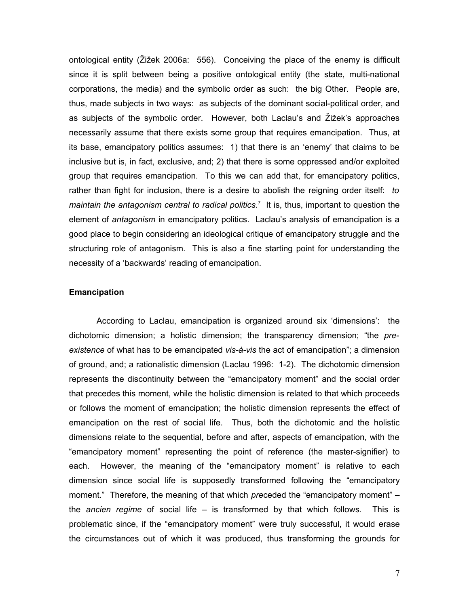ontological entity (Žižek 2006a: 556). Conceiving the place of the enemy is difficult since it is split between being a positive ontological entity (the state, multi-national corporations, the media) and the symbolic order as such: the big Other. People are, thus, made subjects in two ways: as subjects of the dominant social-political order, and as subjects of the symbolic order. However, both Laclau's and Žižek's approaches necessarily assume that there exists some group that requires emancipation. Thus, at its base, emancipatory politics assumes: 1) that there is an 'enemy' that claims to be inclusive but is, in fact, exclusive, and; 2) that there is some oppressed and/or exploited group that requires emancipation. To this we can add that, for emancipatory politics, rather than fight for inclusion, there is a desire to abolish the reigning order itself: *to maintain the antagonism central to radical politics*. 7 It is, thus, important to question the element of *antagonism* in emancipatory politics. Laclau's analysis of emancipation is a good place to begin considering an ideological critique of emancipatory struggle and the structuring role of antagonism. This is also a fine starting point for understanding the necessity of a 'backwards' reading of emancipation.

#### **Emancipation**

According to Laclau, emancipation is organized around six 'dimensions': the dichotomic dimension; a holistic dimension; the transparency dimension; "the *preexistence* of what has to be emancipated *vis-à-vis* the act of emancipation"; a dimension of ground, and; a rationalistic dimension (Laclau 1996: 1-2). The dichotomic dimension represents the discontinuity between the "emancipatory moment" and the social order that precedes this moment, while the holistic dimension is related to that which proceeds or follows the moment of emancipation; the holistic dimension represents the effect of emancipation on the rest of social life. Thus, both the dichotomic and the holistic dimensions relate to the sequential, before and after, aspects of emancipation, with the "emancipatory moment" representing the point of reference (the master-signifier) to each. However, the meaning of the "emancipatory moment" is relative to each dimension since social life is supposedly transformed following the "emancipatory moment." Therefore, the meaning of that which *pre*ceded the "emancipatory moment" – the *ancien regime* of social life – is transformed by that which follows. This is problematic since, if the "emancipatory moment" were truly successful, it would erase the circumstances out of which it was produced, thus transforming the grounds for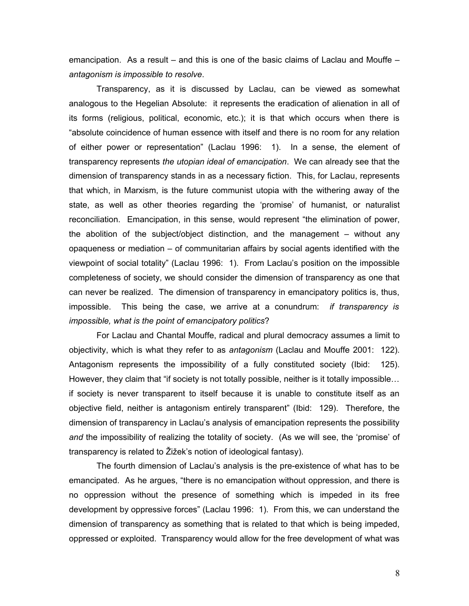emancipation. As a result – and this is one of the basic claims of Laclau and Mouffe – *antagonism is impossible to resolve*.

Transparency, as it is discussed by Laclau, can be viewed as somewhat analogous to the Hegelian Absolute: it represents the eradication of alienation in all of its forms (religious, political, economic, etc.); it is that which occurs when there is "absolute coincidence of human essence with itself and there is no room for any relation of either power or representation" (Laclau 1996: 1). In a sense, the element of transparency represents *the utopian ideal of emancipation*. We can already see that the dimension of transparency stands in as a necessary fiction. This, for Laclau, represents that which, in Marxism, is the future communist utopia with the withering away of the state, as well as other theories regarding the 'promise' of humanist, or naturalist reconciliation. Emancipation, in this sense, would represent "the elimination of power, the abolition of the subject/object distinction, and the management – without any opaqueness or mediation – of communitarian affairs by social agents identified with the viewpoint of social totality" (Laclau 1996: 1). From Laclau's position on the impossible completeness of society, we should consider the dimension of transparency as one that can never be realized. The dimension of transparency in emancipatory politics is, thus, impossible. This being the case, we arrive at a conundrum: *if transparency is impossible, what is the point of emancipatory politics*?

For Laclau and Chantal Mouffe, radical and plural democracy assumes a limit to objectivity, which is what they refer to as *antagonism* (Laclau and Mouffe 2001: 122). Antagonism represents the impossibility of a fully constituted society (Ibid: 125). However, they claim that "if society is not totally possible, neither is it totally impossible… if society is never transparent to itself because it is unable to constitute itself as an objective field, neither is antagonism entirely transparent" (Ibid: 129). Therefore, the dimension of transparency in Laclau's analysis of emancipation represents the possibility *and* the impossibility of realizing the totality of society. (As we will see, the 'promise' of transparency is related to Žižek's notion of ideological fantasy).

The fourth dimension of Laclau's analysis is the pre-existence of what has to be emancipated. As he argues, "there is no emancipation without oppression, and there is no oppression without the presence of something which is impeded in its free development by oppressive forces" (Laclau 1996: 1). From this, we can understand the dimension of transparency as something that is related to that which is being impeded, oppressed or exploited. Transparency would allow for the free development of what was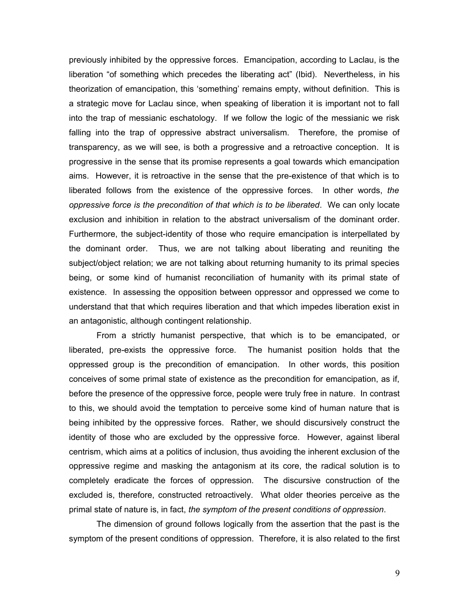previously inhibited by the oppressive forces. Emancipation, according to Laclau, is the liberation "of something which precedes the liberating act" (Ibid). Nevertheless, in his theorization of emancipation, this 'something' remains empty, without definition. This is a strategic move for Laclau since, when speaking of liberation it is important not to fall into the trap of messianic eschatology. If we follow the logic of the messianic we risk falling into the trap of oppressive abstract universalism. Therefore, the promise of transparency, as we will see, is both a progressive and a retroactive conception. It is progressive in the sense that its promise represents a goal towards which emancipation aims. However, it is retroactive in the sense that the pre-existence of that which is to liberated follows from the existence of the oppressive forces. In other words, *the oppressive force is the precondition of that which is to be liberated*. We can only locate exclusion and inhibition in relation to the abstract universalism of the dominant order. Furthermore, the subject-identity of those who require emancipation is interpellated by the dominant order. Thus, we are not talking about liberating and reuniting the subject/object relation; we are not talking about returning humanity to its primal species being, or some kind of humanist reconciliation of humanity with its primal state of existence. In assessing the opposition between oppressor and oppressed we come to understand that that which requires liberation and that which impedes liberation exist in an antagonistic, although contingent relationship.

From a strictly humanist perspective, that which is to be emancipated, or liberated, pre-exists the oppressive force. The humanist position holds that the oppressed group is the precondition of emancipation. In other words, this position conceives of some primal state of existence as the precondition for emancipation, as if, before the presence of the oppressive force, people were truly free in nature. In contrast to this, we should avoid the temptation to perceive some kind of human nature that is being inhibited by the oppressive forces. Rather, we should discursively construct the identity of those who are excluded by the oppressive force. However, against liberal centrism, which aims at a politics of inclusion, thus avoiding the inherent exclusion of the oppressive regime and masking the antagonism at its core, the radical solution is to completely eradicate the forces of oppression. The discursive construction of the excluded is, therefore, constructed retroactively. What older theories perceive as the primal state of nature is, in fact, *the symptom of the present conditions of oppression*.

The dimension of ground follows logically from the assertion that the past is the symptom of the present conditions of oppression. Therefore, it is also related to the first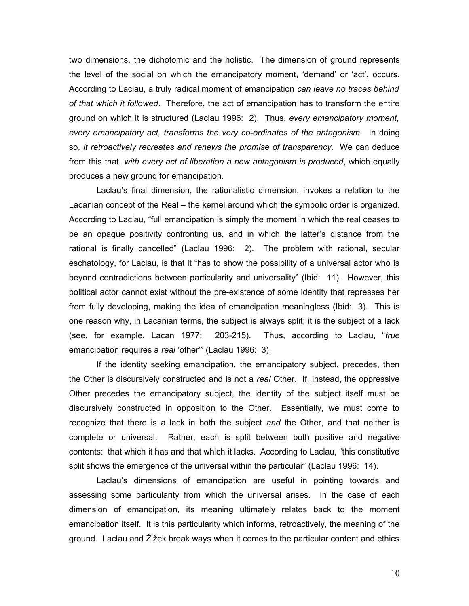two dimensions, the dichotomic and the holistic. The dimension of ground represents the level of the social on which the emancipatory moment, 'demand' or 'act', occurs. According to Laclau, a truly radical moment of emancipation *can leave no traces behind of that which it followed*. Therefore, the act of emancipation has to transform the entire ground on which it is structured (Laclau 1996: 2). Thus, *every emancipatory moment, every emancipatory act, transforms the very co-ordinates of the antagonism*. In doing so, *it retroactively recreates and renews the promise of transparency*. We can deduce from this that, *with every act of liberation a new antagonism is produced*, which equally produces a new ground for emancipation.

Laclau's final dimension, the rationalistic dimension, invokes a relation to the Lacanian concept of the Real – the kernel around which the symbolic order is organized. According to Laclau, "full emancipation is simply the moment in which the real ceases to be an opaque positivity confronting us, and in which the latter's distance from the rational is finally cancelled" (Laclau 1996: 2). The problem with rational, secular eschatology, for Laclau, is that it "has to show the possibility of a universal actor who is beyond contradictions between particularity and universality" (Ibid: 11). However, this political actor cannot exist without the pre-existence of some identity that represses her from fully developing, making the idea of emancipation meaningless (Ibid: 3). This is one reason why, in Lacanian terms, the subject is always split; it is the subject of a lack (see, for example, Lacan 1977: 203-215). Thus, according to Laclau, "*true* emancipation requires a *real* 'other'" (Laclau 1996: 3).

If the identity seeking emancipation, the emancipatory subject, precedes, then the Other is discursively constructed and is not a *real* Other. If, instead, the oppressive Other precedes the emancipatory subject, the identity of the subject itself must be discursively constructed in opposition to the Other. Essentially, we must come to recognize that there is a lack in both the subject *and* the Other, and that neither is complete or universal. Rather, each is split between both positive and negative contents: that which it has and that which it lacks. According to Laclau, "this constitutive split shows the emergence of the universal within the particular" (Laclau 1996: 14).

Laclau's dimensions of emancipation are useful in pointing towards and assessing some particularity from which the universal arises. In the case of each dimension of emancipation, its meaning ultimately relates back to the moment emancipation itself. It is this particularity which informs, retroactively, the meaning of the ground. Laclau and Žižek break ways when it comes to the particular content and ethics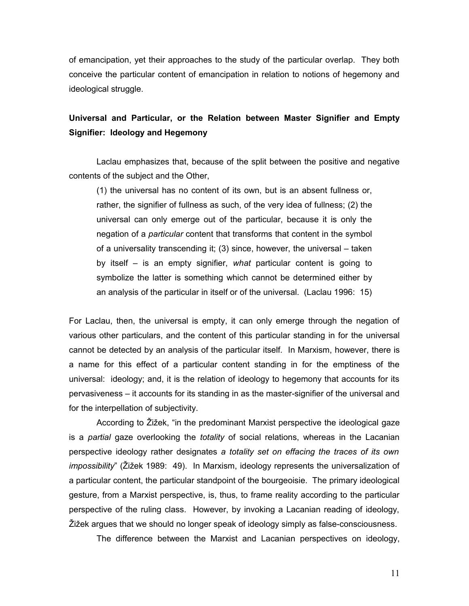of emancipation, yet their approaches to the study of the particular overlap. They both conceive the particular content of emancipation in relation to notions of hegemony and ideological struggle.

### **Universal and Particular, or the Relation between Master Signifier and Empty Signifier: Ideology and Hegemony**

Laclau emphasizes that, because of the split between the positive and negative contents of the subject and the Other,

(1) the universal has no content of its own, but is an absent fullness or, rather, the signifier of fullness as such, of the very idea of fullness; (2) the universal can only emerge out of the particular, because it is only the negation of a *particular* content that transforms that content in the symbol of a universality transcending it; (3) since, however, the universal – taken by itself – is an empty signifier, *what* particular content is going to symbolize the latter is something which cannot be determined either by an analysis of the particular in itself or of the universal. (Laclau 1996: 15)

For Laclau, then, the universal is empty, it can only emerge through the negation of various other particulars, and the content of this particular standing in for the universal cannot be detected by an analysis of the particular itself. In Marxism, however, there is a name for this effect of a particular content standing in for the emptiness of the universal: ideology; and, it is the relation of ideology to hegemony that accounts for its pervasiveness – it accounts for its standing in as the master-signifier of the universal and for the interpellation of subjectivity.

According to Žižek, "in the predominant Marxist perspective the ideological gaze is a *partial* gaze overlooking the *totality* of social relations, whereas in the Lacanian perspective ideology rather designates *a totality set on effacing the traces of its own impossibility*" (Žižek 1989: 49). In Marxism, ideology represents the universalization of a particular content, the particular standpoint of the bourgeoisie. The primary ideological gesture, from a Marxist perspective, is, thus, to frame reality according to the particular perspective of the ruling class. However, by invoking a Lacanian reading of ideology, Žižek argues that we should no longer speak of ideology simply as false-consciousness.

The difference between the Marxist and Lacanian perspectives on ideology,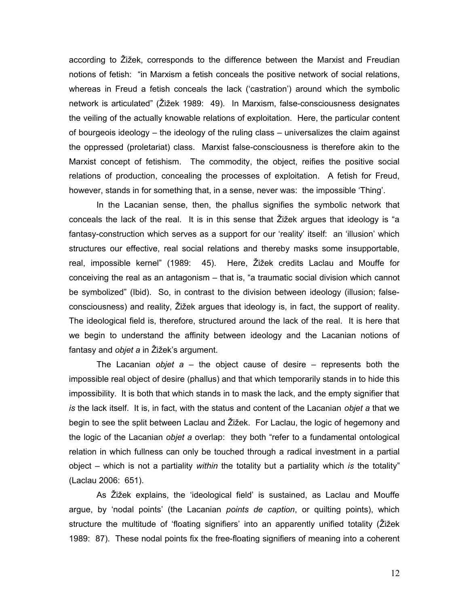according to Žižek, corresponds to the difference between the Marxist and Freudian notions of fetish: "in Marxism a fetish conceals the positive network of social relations, whereas in Freud a fetish conceals the lack ('castration') around which the symbolic network is articulated" (Žižek 1989: 49). In Marxism, false-consciousness designates the veiling of the actually knowable relations of exploitation. Here, the particular content of bourgeois ideology – the ideology of the ruling class – universalizes the claim against the oppressed (proletariat) class. Marxist false-consciousness is therefore akin to the Marxist concept of fetishism. The commodity, the object, reifies the positive social relations of production, concealing the processes of exploitation. A fetish for Freud, however, stands in for something that, in a sense, never was: the impossible 'Thing'.

In the Lacanian sense, then, the phallus signifies the symbolic network that conceals the lack of the real. It is in this sense that Žižek argues that ideology is "a fantasy-construction which serves as a support for our 'reality' itself: an 'illusion' which structures our effective, real social relations and thereby masks some insupportable, real, impossible kernel" (1989: 45). Here, Žižek credits Laclau and Mouffe for conceiving the real as an antagonism – that is, "a traumatic social division which cannot be symbolized" (Ibid). So, in contrast to the division between ideology (illusion; falseconsciousness) and reality, Žižek argues that ideology is, in fact, the support of reality. The ideological field is, therefore, structured around the lack of the real. It is here that we begin to understand the affinity between ideology and the Lacanian notions of fantasy and *objet a* in Žižek's argument.

The Lacanian *objet a* – the object cause of desire – represents both the impossible real object of desire (phallus) and that which temporarily stands in to hide this impossibility. It is both that which stands in to mask the lack, and the empty signifier that *is* the lack itself. It is, in fact, with the status and content of the Lacanian *objet a* that we begin to see the split between Laclau and Žižek. For Laclau, the logic of hegemony and the logic of the Lacanian *objet a* overlap: they both "refer to a fundamental ontological relation in which fullness can only be touched through a radical investment in a partial object – which is not a partiality *within* the totality but a partiality which *is* the totality" (Laclau 2006: 651).

As Žižek explains, the 'ideological field' is sustained, as Laclau and Mouffe argue, by 'nodal points' (the Lacanian *points de caption*, or quilting points), which structure the multitude of 'floating signifiers' into an apparently unified totality (Žižek 1989: 87). These nodal points fix the free-floating signifiers of meaning into a coherent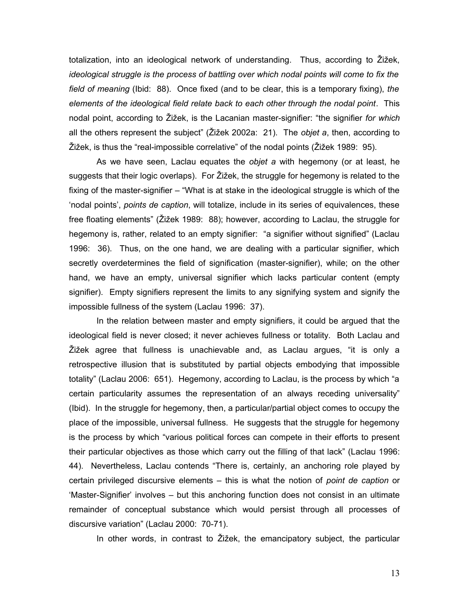totalization, into an ideological network of understanding. Thus, according to Žižek, *ideological struggle is the process of battling over which nodal points will come to fix the field of meaning* (Ibid: 88). Once fixed (and to be clear, this is a temporary fixing), *the elements of the ideological field relate back to each other through the nodal point*. This nodal point, according to Žižek, is the Lacanian master-signifier: "the signifier *for which* all the others represent the subject" (Žižek 2002a: 21). The *objet a*, then, according to Žižek, is thus the "real-impossible correlative" of the nodal points (Žižek 1989: 95).

As we have seen, Laclau equates the *objet a* with hegemony (or at least, he suggests that their logic overlaps). For Žižek, the struggle for hegemony is related to the fixing of the master-signifier – "What is at stake in the ideological struggle is which of the 'nodal points', *points de caption*, will totalize, include in its series of equivalences, these free floating elements" (Žižek 1989: 88); however, according to Laclau, the struggle for hegemony is, rather, related to an empty signifier: "a signifier without signified" (Laclau 1996: 36). Thus, on the one hand, we are dealing with a particular signifier, which secretly overdetermines the field of signification (master-signifier), while; on the other hand, we have an empty, universal signifier which lacks particular content (empty signifier). Empty signifiers represent the limits to any signifying system and signify the impossible fullness of the system (Laclau 1996: 37).

In the relation between master and empty signifiers, it could be argued that the ideological field is never closed; it never achieves fullness or totality. Both Laclau and Žižek agree that fullness is unachievable and, as Laclau argues, "it is only a retrospective illusion that is substituted by partial objects embodying that impossible totality" (Laclau 2006: 651). Hegemony, according to Laclau, is the process by which "a certain particularity assumes the representation of an always receding universality" (Ibid). In the struggle for hegemony, then, a particular/partial object comes to occupy the place of the impossible, universal fullness. He suggests that the struggle for hegemony is the process by which "various political forces can compete in their efforts to present their particular objectives as those which carry out the filling of that lack" (Laclau 1996: 44). Nevertheless, Laclau contends "There is, certainly, an anchoring role played by certain privileged discursive elements – this is what the notion of *point de caption* or 'Master-Signifier' involves – but this anchoring function does not consist in an ultimate remainder of conceptual substance which would persist through all processes of discursive variation" (Laclau 2000: 70-71).

In other words, in contrast to Žižek, the emancipatory subject, the particular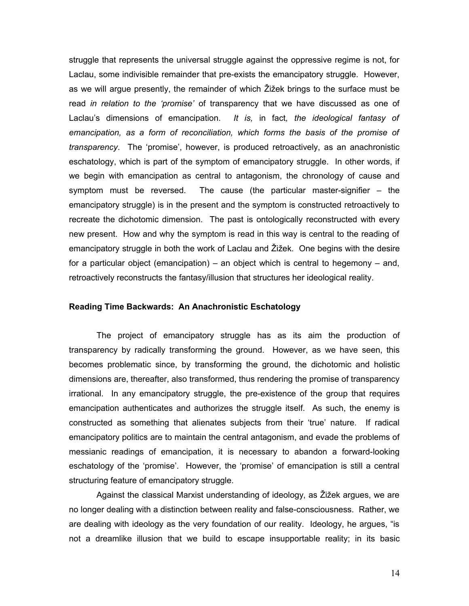struggle that represents the universal struggle against the oppressive regime is not, for Laclau, some indivisible remainder that pre-exists the emancipatory struggle. However, as we will argue presently, the remainder of which Žižek brings to the surface must be read *in relation to the 'promise'* of transparency that we have discussed as one of Laclau's dimensions of emancipation. *It is,* in fact*, the ideological fantasy of emancipation, as a form of reconciliation, which forms the basis of the promise of transparency*. The 'promise', however, is produced retroactively, as an anachronistic eschatology, which is part of the symptom of emancipatory struggle. In other words, if we begin with emancipation as central to antagonism, the chronology of cause and symptom must be reversed. The cause (the particular master-signifier – the emancipatory struggle) is in the present and the symptom is constructed retroactively to recreate the dichotomic dimension. The past is ontologically reconstructed with every new present. How and why the symptom is read in this way is central to the reading of emancipatory struggle in both the work of Laclau and Žižek. One begins with the desire for a particular object (emancipation) – an object which is central to hegemony – and, retroactively reconstructs the fantasy/illusion that structures her ideological reality.

#### **Reading Time Backwards: An Anachronistic Eschatology**

The project of emancipatory struggle has as its aim the production of transparency by radically transforming the ground. However, as we have seen, this becomes problematic since, by transforming the ground, the dichotomic and holistic dimensions are, thereafter, also transformed, thus rendering the promise of transparency irrational. In any emancipatory struggle, the pre-existence of the group that requires emancipation authenticates and authorizes the struggle itself. As such, the enemy is constructed as something that alienates subjects from their 'true' nature. If radical emancipatory politics are to maintain the central antagonism, and evade the problems of messianic readings of emancipation, it is necessary to abandon a forward-looking eschatology of the 'promise'. However, the 'promise' of emancipation is still a central structuring feature of emancipatory struggle.

Against the classical Marxist understanding of ideology, as Žižek argues, we are no longer dealing with a distinction between reality and false-consciousness. Rather, we are dealing with ideology as the very foundation of our reality. Ideology, he argues, "is not a dreamlike illusion that we build to escape insupportable reality; in its basic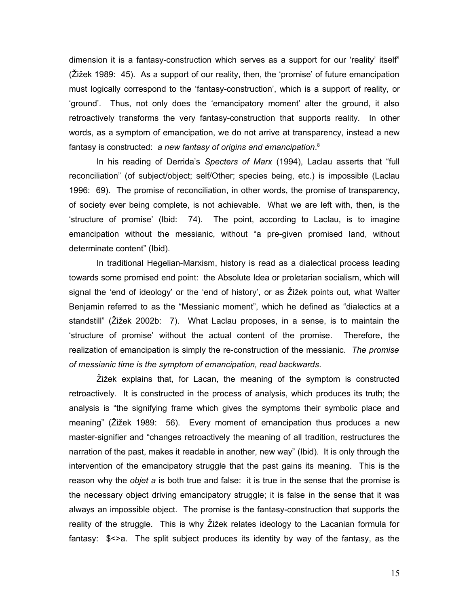dimension it is a fantasy-construction which serves as a support for our 'reality' itself" (Žižek 1989: 45). As a support of our reality, then, the 'promise' of future emancipation must logically correspond to the 'fantasy-construction', which is a support of reality, or 'ground'. Thus, not only does the 'emancipatory moment' alter the ground, it also retroactively transforms the very fantasy-construction that supports reality. In other words, as a symptom of emancipation, we do not arrive at transparency, instead a new fantasy is constructed: *a new fantasy of origins and emancipation*. 8

In his reading of Derrida's *Specters of Marx* (1994), Laclau asserts that "full reconciliation" (of subject/object; self/Other; species being, etc.) is impossible (Laclau 1996: 69). The promise of reconciliation, in other words, the promise of transparency, of society ever being complete, is not achievable. What we are left with, then, is the 'structure of promise' (Ibid: 74). The point, according to Laclau, is to imagine emancipation without the messianic, without "a pre-given promised land, without determinate content" (Ibid).

In traditional Hegelian-Marxism, history is read as a dialectical process leading towards some promised end point: the Absolute Idea or proletarian socialism, which will signal the 'end of ideology' or the 'end of history', or as Žižek points out, what Walter Benjamin referred to as the "Messianic moment", which he defined as "dialectics at a standstill" (Žižek 2002b: 7). What Laclau proposes, in a sense, is to maintain the 'structure of promise' without the actual content of the promise. Therefore, the realization of emancipation is simply the re-construction of the messianic. *The promise of messianic time is the symptom of emancipation, read backwards*.

Žižek explains that, for Lacan, the meaning of the symptom is constructed retroactively. It is constructed in the process of analysis, which produces its truth; the analysis is "the signifying frame which gives the symptoms their symbolic place and meaning" (Žižek 1989: 56). Every moment of emancipation thus produces a new master-signifier and "changes retroactively the meaning of all tradition, restructures the narration of the past, makes it readable in another, new way" (Ibid). It is only through the intervention of the emancipatory struggle that the past gains its meaning. This is the reason why the *objet a* is both true and false: it is true in the sense that the promise is the necessary object driving emancipatory struggle; it is false in the sense that it was always an impossible object. The promise is the fantasy-construction that supports the reality of the struggle. This is why Žižek relates ideology to the Lacanian formula for fantasy: \$<>a. The split subject produces its identity by way of the fantasy, as the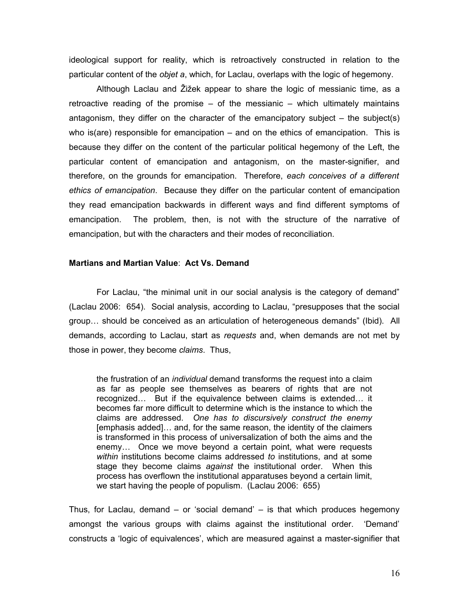ideological support for reality, which is retroactively constructed in relation to the particular content of the *objet a*, which, for Laclau, overlaps with the logic of hegemony.

Although Laclau and Žižek appear to share the logic of messianic time, as a retroactive reading of the promise – of the messianic – which ultimately maintains antagonism, they differ on the character of the emancipatory subject  $-$  the subject(s) who is(are) responsible for emancipation – and on the ethics of emancipation. This is because they differ on the content of the particular political hegemony of the Left, the particular content of emancipation and antagonism, on the master-signifier, and therefore, on the grounds for emancipation. Therefore, *each conceives of a different ethics of emancipation*. Because they differ on the particular content of emancipation they read emancipation backwards in different ways and find different symptoms of emancipation. The problem, then, is not with the structure of the narrative of emancipation, but with the characters and their modes of reconciliation.

#### **Martians and Martian Value**: **Act Vs. Demand**

For Laclau, "the minimal unit in our social analysis is the category of demand" (Laclau 2006: 654). Social analysis, according to Laclau, "presupposes that the social group… should be conceived as an articulation of heterogeneous demands" (Ibid). All demands, according to Laclau, start as *requests* and, when demands are not met by those in power, they become *claims*. Thus,

the frustration of an *individual* demand transforms the request into a claim as far as people see themselves as bearers of rights that are not recognized… But if the equivalence between claims is extended… it becomes far more difficult to determine which is the instance to which the claims are addressed. *One has to discursively construct the enemy* [emphasis added]… and, for the same reason, the identity of the claimers is transformed in this process of universalization of both the aims and the enemy… Once we move beyond a certain point, what were requests *within* institutions become claims addressed *to* institutions, and at some stage they become claims *against* the institutional order. When this process has overflown the institutional apparatuses beyond a certain limit, we start having the people of populism. (Laclau 2006: 655)

Thus, for Laclau, demand – or 'social demand' – is that which produces hegemony amongst the various groups with claims against the institutional order. 'Demand' constructs a 'logic of equivalences', which are measured against a master-signifier that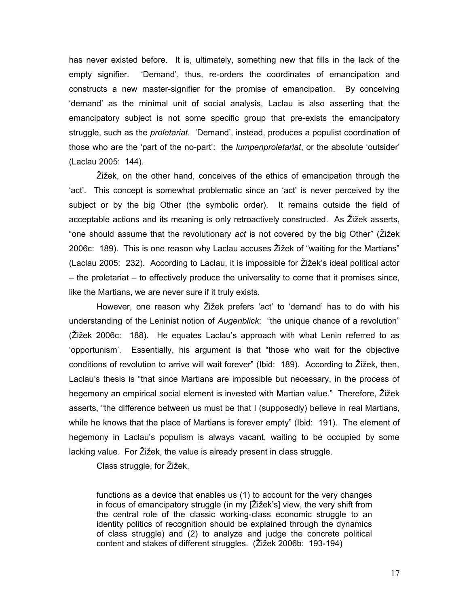has never existed before. It is, ultimately, something new that fills in the lack of the empty signifier. 'Demand', thus, re-orders the coordinates of emancipation and constructs a new master-signifier for the promise of emancipation. By conceiving 'demand' as the minimal unit of social analysis, Laclau is also asserting that the emancipatory subject is not some specific group that pre-exists the emancipatory struggle, such as the *proletariat*. 'Demand', instead, produces a populist coordination of those who are the 'part of the no-part': the *lumpenproletariat*, or the absolute 'outsider' (Laclau 2005: 144).

Žižek, on the other hand, conceives of the ethics of emancipation through the 'act'. This concept is somewhat problematic since an 'act' is never perceived by the subject or by the big Other (the symbolic order). It remains outside the field of acceptable actions and its meaning is only retroactively constructed. As Žižek asserts, "one should assume that the revolutionary *act* is not covered by the big Other" (Žižek 2006c: 189). This is one reason why Laclau accuses Žižek of "waiting for the Martians" (Laclau 2005: 232). According to Laclau, it is impossible for Žižek's ideal political actor – the proletariat – to effectively produce the universality to come that it promises since, like the Martians, we are never sure if it truly exists.

However, one reason why Žižek prefers 'act' to 'demand' has to do with his understanding of the Leninist notion of *Augenblick*: "the unique chance of a revolution" (Žižek 2006c: 188). He equates Laclau's approach with what Lenin referred to as 'opportunism'. Essentially, his argument is that "those who wait for the objective conditions of revolution to arrive will wait forever" (Ibid: 189). According to Žižek, then, Laclau's thesis is "that since Martians are impossible but necessary, in the process of hegemony an empirical social element is invested with Martian value." Therefore, Žižek asserts, "the difference between us must be that I (supposedly) believe in real Martians, while he knows that the place of Martians is forever empty" (Ibid: 191). The element of hegemony in Laclau's populism is always vacant, waiting to be occupied by some lacking value. For Žižek, the value is already present in class struggle.

Class struggle, for Žižek,

functions as a device that enables us (1) to account for the very changes in focus of emancipatory struggle (in my [Žižek's] view, the very shift from the central role of the classic working-class economic struggle to an identity politics of recognition should be explained through the dynamics of class struggle) and (2) to analyze and judge the concrete political content and stakes of different struggles. (Žižek 2006b: 193-194)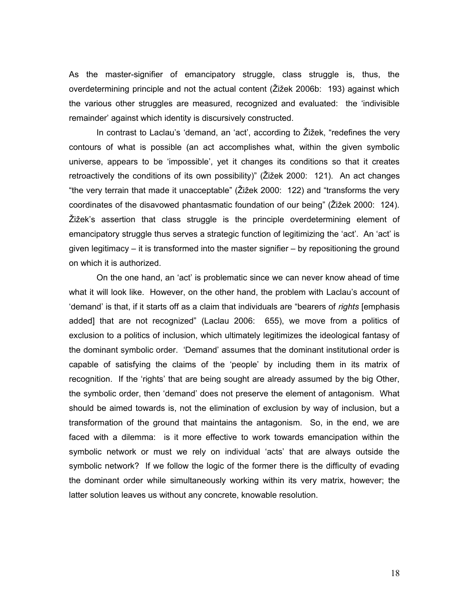As the master-signifier of emancipatory struggle, class struggle is, thus, the overdetermining principle and not the actual content (Žižek 2006b: 193) against which the various other struggles are measured, recognized and evaluated: the 'indivisible remainder' against which identity is discursively constructed.

In contrast to Laclau's 'demand, an 'act', according to Žižek, "redefines the very contours of what is possible (an act accomplishes what, within the given symbolic universe, appears to be 'impossible', yet it changes its conditions so that it creates retroactively the conditions of its own possibility)" (Žižek 2000: 121). An act changes "the very terrain that made it unacceptable" (Žižek 2000: 122) and "transforms the very coordinates of the disavowed phantasmatic foundation of our being" (Žižek 2000: 124). Žižek's assertion that class struggle is the principle overdetermining element of emancipatory struggle thus serves a strategic function of legitimizing the 'act'. An 'act' is given legitimacy – it is transformed into the master signifier – by repositioning the ground on which it is authorized.

On the one hand, an 'act' is problematic since we can never know ahead of time what it will look like. However, on the other hand, the problem with Laclau's account of 'demand' is that, if it starts off as a claim that individuals are "bearers of *rights* [emphasis added] that are not recognized" (Laclau 2006: 655), we move from a politics of exclusion to a politics of inclusion, which ultimately legitimizes the ideological fantasy of the dominant symbolic order. 'Demand' assumes that the dominant institutional order is capable of satisfying the claims of the 'people' by including them in its matrix of recognition. If the 'rights' that are being sought are already assumed by the big Other, the symbolic order, then 'demand' does not preserve the element of antagonism. What should be aimed towards is, not the elimination of exclusion by way of inclusion, but a transformation of the ground that maintains the antagonism. So, in the end, we are faced with a dilemma: is it more effective to work towards emancipation within the symbolic network or must we rely on individual 'acts' that are always outside the symbolic network? If we follow the logic of the former there is the difficulty of evading the dominant order while simultaneously working within its very matrix, however; the latter solution leaves us without any concrete, knowable resolution.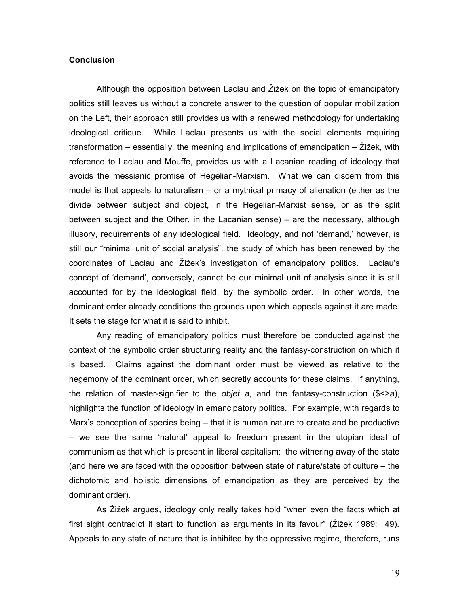#### **Conclusion**

Although the opposition between Laclau and Žižek on the topic of emancipatory politics still leaves us without a concrete answer to the question of popular mobilization on the Left, their approach still provides us with a renewed methodology for undertaking ideological critique. While Laclau presents us with the social elements requiring transformation – essentially, the meaning and implications of emancipation – Žižek, with reference to Laclau and Mouffe, provides us with a Lacanian reading of ideology that avoids the messianic promise of Hegelian-Marxism. What we can discern from this model is that appeals to naturalism – or a mythical primacy of alienation (either as the divide between subject and object, in the Hegelian-Marxist sense, or as the split between subject and the Other, in the Lacanian sense) – are the necessary, although illusory, requirements of any ideological field. Ideology, and not 'demand,' however, is still our "minimal unit of social analysis", the study of which has been renewed by the coordinates of Laclau and Žižek's investigation of emancipatory politics. Laclau's concept of 'demand', conversely, cannot be our minimal unit of analysis since it is still accounted for by the ideological field, by the symbolic order. In other words, the dominant order already conditions the grounds upon which appeals against it are made. It sets the stage for what it is said to inhibit.

Any reading of emancipatory politics must therefore be conducted against the context of the symbolic order structuring reality and the fantasy-construction on which it is based. Claims against the dominant order must be viewed as relative to the hegemony of the dominant order, which secretly accounts for these claims. If anything, the relation of master-signifier to the *objet a*, and the fantasy-construction (\$<>a), highlights the function of ideology in emancipatory politics. For example, with regards to Marx's conception of species being – that it is human nature to create and be productive – we see the same 'natural' appeal to freedom present in the utopian ideal of communism as that which is present in liberal capitalism: the withering away of the state (and here we are faced with the opposition between state of nature/state of culture – the dichotomic and holistic dimensions of emancipation as they are perceived by the dominant order).

As Žižek argues, ideology only really takes hold "when even the facts which at first sight contradict it start to function as arguments in its favour" (Žižek 1989: 49). Appeals to any state of nature that is inhibited by the oppressive regime, therefore, runs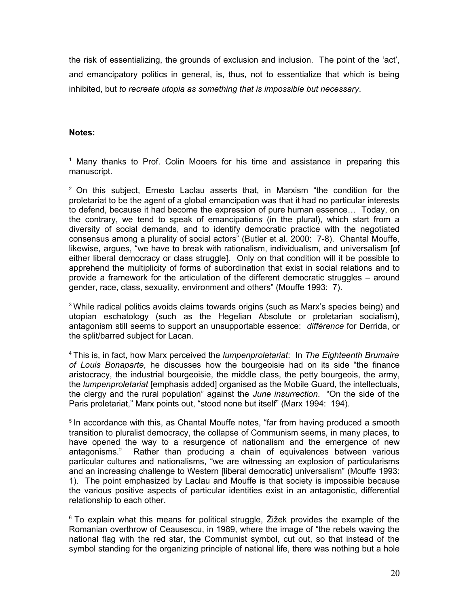the risk of essentializing, the grounds of exclusion and inclusion. The point of the 'act', and emancipatory politics in general, is, thus, not to essentialize that which is being inhibited, but *to recreate utopia as something that is impossible but necessary*.

#### **Notes:**

<sup>1</sup> Many thanks to Prof. Colin Mooers for his time and assistance in preparing this manuscript.

 $2$  On this subject, Ernesto Laclau asserts that, in Marxism "the condition for the proletariat to be the agent of a global emancipation was that it had no particular interests to defend, because it had become the expression of pure human essence… Today, on the contrary, we tend to speak of emancipation*s* (in the plural), which start from a diversity of social demands, and to identify democratic practice with the negotiated consensus among a plurality of social actors" (Butler et al. 2000: 7-8). Chantal Mouffe, likewise, argues, "we have to break with rationalism, individualism, and universalism [of either liberal democracy or class struggle]. Only on that condition will it be possible to apprehend the multiplicity of forms of subordination that exist in social relations and to provide a framework for the articulation of the different democratic struggles – around gender, race, class, sexuality, environment and others" (Mouffe 1993: 7).

<sup>3</sup> While radical politics avoids claims towards origins (such as Marx's species being) and utopian eschatology (such as the Hegelian Absolute or proletarian socialism), antagonism still seems to support an unsupportable essence: *différence* for Derrida, or the split/barred subject for Lacan.

<sup>4</sup> This is, in fact, how Marx perceived the *lumpenproletariat*: In *The Eighteenth Brumaire of Louis Bonaparte*, he discusses how the bourgeoisie had on its side "the finance aristocracy, the industrial bourgeoisie, the middle class, the petty bourgeois, the army, the *lumpenproletariat* [emphasis added] organised as the Mobile Guard, the intellectuals, the clergy and the rural population" against the *June insurrection*. "On the side of the Paris proletariat," Marx points out, "stood none but itself" (Marx 1994: 194).

<sup>5</sup> In accordance with this, as Chantal Mouffe notes, "far from having produced a smooth transition to pluralist democracy, the collapse of Communism seems, in many places, to have opened the way to a resurgence of nationalism and the emergence of new antagonisms." Rather than producing a chain of equivalences between various particular cultures and nationalisms, "we are witnessing an explosion of particularisms and an increasing challenge to Western [liberal democratic] universalism" (Mouffe 1993: 1). The point emphasized by Laclau and Mouffe is that society is impossible because the various positive aspects of particular identities exist in an antagonistic, differential relationship to each other.

 $6$  To explain what this means for political struggle, Žižek provides the example of the Romanian overthrow of Ceausescu, in 1989, where the image of "the rebels waving the national flag with the red star, the Communist symbol, cut out, so that instead of the symbol standing for the organizing principle of national life, there was nothing but a hole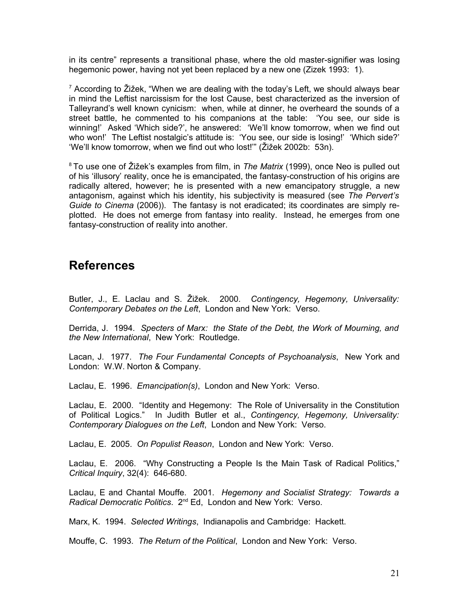in its centre" represents a transitional phase, where the old master-signifier was losing hegemonic power, having not yet been replaced by a new one (Zizek 1993: 1).

 $^7$  According to Žižek, "When we are dealing with the today's Left, we should always bear in mind the Leftist narcissism for the lost Cause, best characterized as the inversion of Talleyrand's well known cynicism: when, while at dinner, he overheard the sounds of a street battle, he commented to his companions at the table: 'You see, our side is winning!' Asked 'Which side?', he answered: 'We'll know tomorrow, when we find out who won!' The Leftist nostalgic's attitude is: 'You see, our side is losing!' 'Which side?' 'We'll know tomorrow, when we find out who lost!'" (Žižek 2002b: 53n).

<sup>8</sup> To use one of Žižek's examples from film, in *The Matrix* (1999), once Neo is pulled out of his 'illusory' reality, once he is emancipated, the fantasy-construction of his origins are radically altered, however; he is presented with a new emancipatory struggle, a new antagonism, against which his identity, his subjectivity is measured (see *The Pervert's Guide to Cinema* (2006)). The fantasy is not eradicated; its coordinates are simply replotted. He does not emerge from fantasy into reality. Instead, he emerges from one fantasy-construction of reality into another.

## **References**

Butler, J., E. Laclau and S. Žižek. 2000. *Contingency, Hegemony, Universality: Contemporary Debates on the Left*, London and New York: Verso.

Derrida, J. 1994. *Specters of Marx: the State of the Debt, the Work of Mourning, and the New International*, New York: Routledge.

Lacan, J. 1977. *The Four Fundamental Concepts of Psychoanalysis*, New York and London: W.W. Norton & Company.

Laclau, E. 1996. *Emancipation(s)*, London and New York: Verso.

Laclau, E. 2000. "Identity and Hegemony: The Role of Universality in the Constitution of Political Logics." In Judith Butler et al., *Contingency, Hegemony, Universality: Contemporary Dialogues on the Left*, London and New York: Verso.

Laclau, E. 2005. *On Populist Reason*, London and New York: Verso.

Laclau, E. 2006. "Why Constructing a People Is the Main Task of Radical Politics," *Critical Inquiry*, 32(4): 646-680.

Laclau, E and Chantal Mouffe. 2001. *Hegemony and Socialist Strategy: Towards a* Radical Democratic Politics. 2<sup>nd</sup> Ed, London and New York: Verso.

Marx, K. 1994. *Selected Writings*, Indianapolis and Cambridge: Hackett.

Mouffe, C. 1993. *The Return of the Political*, London and New York: Verso.